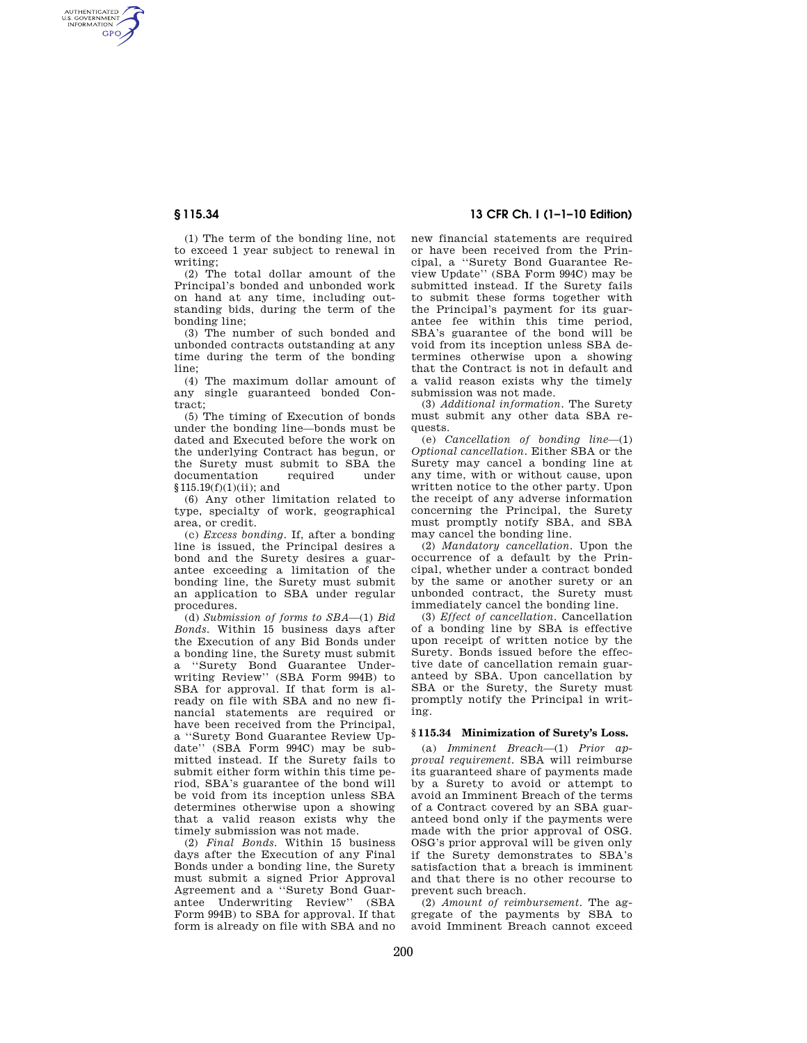AUTHENTICATED<br>U.S. GOVERNMENT<br>INFORMATION **GPO** 

> (1) The term of the bonding line, not to exceed 1 year subject to renewal in writing;

> (2) The total dollar amount of the Principal's bonded and unbonded work on hand at any time, including outstanding bids, during the term of the bonding line;

> (3) The number of such bonded and unbonded contracts outstanding at any time during the term of the bonding line;

> (4) The maximum dollar amount of any single guaranteed bonded Contract;

> (5) The timing of Execution of bonds under the bonding line—bonds must be dated and Executed before the work on the underlying Contract has begun, or the Surety must submit to SBA the documentation required under documentation §115.19(f)(1)(ii); and

> (6) Any other limitation related to type, specialty of work, geographical area, or credit.

> (c) *Excess bonding.* If, after a bonding line is issued, the Principal desires a bond and the Surety desires a guarantee exceeding a limitation of the bonding line, the Surety must submit an application to SBA under regular procedures.

> (d) *Submission of forms to SBA*—(1) *Bid Bonds.* Within 15 business days after the Execution of any Bid Bonds under a bonding line, the Surety must submit a ''Surety Bond Guarantee Underwriting Review'' (SBA Form 994B) to SBA for approval. If that form is already on file with SBA and no new financial statements are required or have been received from the Principal, a ''Surety Bond Guarantee Review Update'' (SBA Form 994C) may be submitted instead. If the Surety fails to submit either form within this time period, SBA's guarantee of the bond will be void from its inception unless SBA determines otherwise upon a showing that a valid reason exists why the timely submission was not made.

> (2) *Final Bonds.* Within 15 business days after the Execution of any Final Bonds under a bonding line, the Surety must submit a signed Prior Approval Agreement and a ''Surety Bond Guarantee Underwriting Review'' (SBA Form 994B) to SBA for approval. If that form is already on file with SBA and no

# **§ 115.34 13 CFR Ch. I (1–1–10 Edition)**

new financial statements are required or have been received from the Principal, a ''Surety Bond Guarantee Review Update'' (SBA Form 994C) may be submitted instead. If the Surety fails to submit these forms together with the Principal's payment for its guarantee fee within this time period, SBA's guarantee of the bond will be void from its inception unless SBA determines otherwise upon a showing that the Contract is not in default and a valid reason exists why the timely submission was not made.

(3) *Additional information.* The Surety must submit any other data SBA requests.

(e) *Cancellation of bonding line*—(1) *Optional cancellation.* Either SBA or the Surety may cancel a bonding line at any time, with or without cause, upon written notice to the other party. Upon the receipt of any adverse information concerning the Principal, the Surety must promptly notify SBA, and SBA may cancel the bonding line.

(2) *Mandatory cancellation.* Upon the occurrence of a default by the Principal, whether under a contract bonded by the same or another surety or an unbonded contract, the Surety must immediately cancel the bonding line.

(3) *Effect of cancellation.* Cancellation of a bonding line by SBA is effective upon receipt of written notice by the Surety. Bonds issued before the effective date of cancellation remain guaranteed by SBA. Upon cancellation by SBA or the Surety, the Surety must promptly notify the Principal in writing.

## **§ 115.34 Minimization of Surety's Loss.**

(a) *Imminent Breach*—(1) *Prior approval requirement.* SBA will reimburse its guaranteed share of payments made by a Surety to avoid or attempt to avoid an Imminent Breach of the terms of a Contract covered by an SBA guaranteed bond only if the payments were made with the prior approval of OSG. OSG's prior approval will be given only if the Surety demonstrates to SBA's satisfaction that a breach is imminent and that there is no other recourse to prevent such breach.

(2) *Amount of reimbursement.* The aggregate of the payments by SBA to avoid Imminent Breach cannot exceed